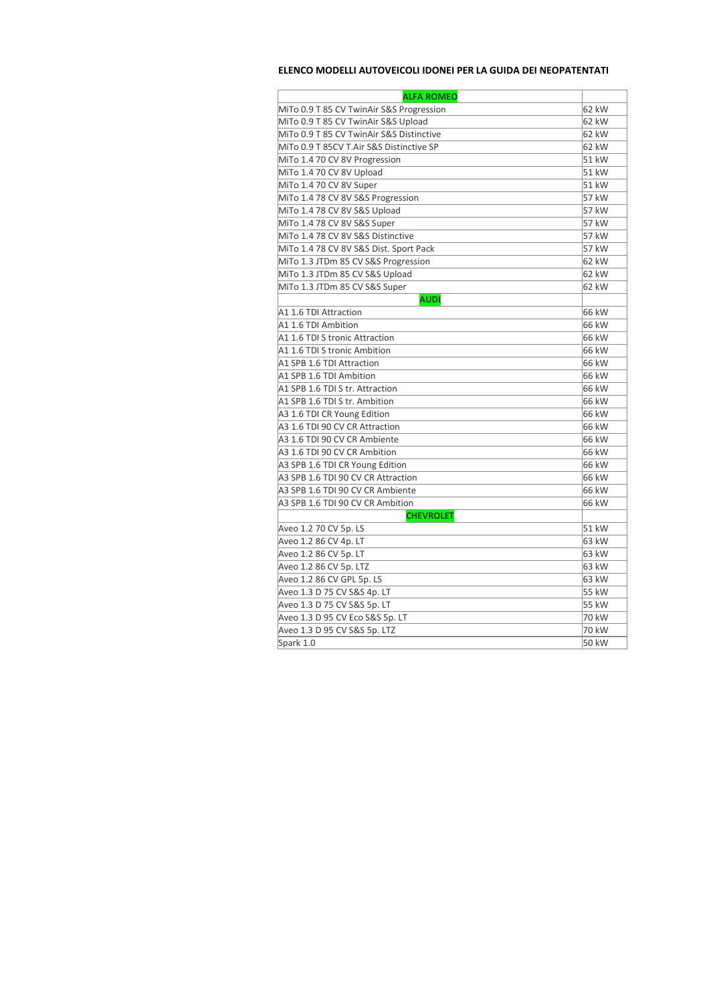## **ELENCO MODELLI AUTOVEICOLI IDONEI PER LA GUIDA DEI NEOPATENTATI**

| <b>ALFA ROMEO</b>                        |       |
|------------------------------------------|-------|
| MiTo 0.9 T 85 CV TwinAir S&S Progression | 62 kW |
| MiTo 0.9 T 85 CV TwinAir S&S Upload      | 62 kW |
| MiTo 0.9 T 85 CV TwinAir S&S Distinctive | 62 kW |
| MiTo 0.9 T 85CV T.Air S&S Distinctive SP | 62 kW |
| MiTo 1.4 70 CV 8V Progression            | 51 kW |
| MiTo 1.4 70 CV 8V Upload                 | 51 kW |
| MiTo 1.4 70 CV 8V Super                  | 51 kW |
| MiTo 1.4 78 CV 8V S&S Progression        | 57 kW |
| MiTo 1.4 78 CV 8V S&S Upload             | 57 kW |
| MiTo 1.4 78 CV 8V S&S Super              | 57 kW |
| MiTo 1.4 78 CV 8V S&S Distinctive        | 57 kW |
| MiTo 1.4 78 CV 8V S&S Dist. Sport Pack   | 57 kW |
| MiTo 1.3 JTDm 85 CV S&S Progression      | 62 kW |
| MiTo 1.3 JTDm 85 CV S&S Upload           | 62 kW |
| MiTo 1.3 JTDm 85 CV S&S Super            | 62 kW |
| <b>AUDI</b>                              |       |
| A1 1.6 TDI Attraction                    | 66 kW |
| A1 1.6 TDI Ambition                      | 66 kW |
| A1 1.6 TDI S tronic Attraction           | 66 kW |
| A1 1.6 TDI S tronic Ambition             | 66 kW |
| A1 SPB 1.6 TDI Attraction                | 66 kW |
| A1 SPB 1.6 TDI Ambition                  | 66 kW |
| A1 SPB 1.6 TDI S tr. Attraction          | 66 kW |
| A1 SPB 1.6 TDI S tr. Ambition            | 66 kW |
| A3 1.6 TDI CR Young Edition              | 66 kW |
| A3 1.6 TDI 90 CV CR Attraction           | 66 kW |
| A3 1.6 TDI 90 CV CR Ambiente             | 66 kW |
| A3 1.6 TDI 90 CV CR Ambition             | 66 kW |
| A3 SPB 1.6 TDI CR Young Edition          | 66 kW |
| A3 SPB 1.6 TDI 90 CV CR Attraction       | 66 kW |
| A3 SPB 1.6 TDI 90 CV CR Ambiente         | 66 kW |
| A3 SPB 1.6 TDI 90 CV CR Ambition         | 66 kW |
| <b>CHEVROLET</b>                         |       |
| Aveo 1.2 70 CV 5p. LS                    | 51 kW |
| Aveo 1.2 86 CV 4p. LT                    | 63 kW |
| Aveo 1.2 86 CV 5p. LT                    | 63 kW |
| Aveo 1.2 86 CV 5p. LTZ                   | 63 kW |
| Aveo 1.2 86 CV GPL 5p. LS                | 63 kW |
| Aveo 1.3 D 75 CV S&S 4p. LT              | 55 kW |
| Aveo 1.3 D 75 CV S&S 5p. LT              | 55 kW |
| Aveo 1.3 D 95 CV Eco S&S 5p. LT          | 70 kW |
| Aveo 1.3 D 95 CV S&S 5p. LTZ             | 70 kW |
| Spark 1.0                                | 50 kW |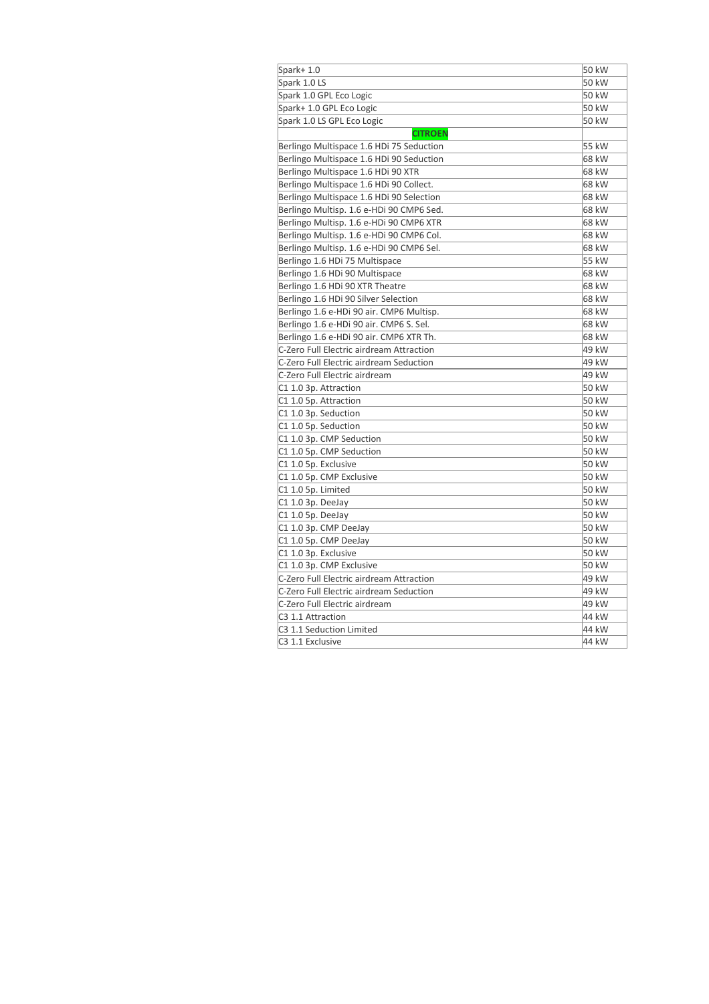| Spark+1.0                                | 50 kW |
|------------------------------------------|-------|
| Spark 1.0 LS                             | 50 kW |
| Spark 1.0 GPL Eco Logic                  | 50 kW |
| Spark+ 1.0 GPL Eco Logic                 | 50 kW |
| Spark 1.0 LS GPL Eco Logic               | 50 kW |
| <b>CITROEN</b>                           |       |
| Berlingo Multispace 1.6 HDi 75 Seduction | 55 kW |
| Berlingo Multispace 1.6 HDi 90 Seduction | 68 kW |
| Berlingo Multispace 1.6 HDi 90 XTR       | 68 kW |
| Berlingo Multispace 1.6 HDi 90 Collect.  | 68 kW |
| Berlingo Multispace 1.6 HDi 90 Selection | 68 kW |
| Berlingo Multisp. 1.6 e-HDi 90 CMP6 Sed. | 68 kW |
| Berlingo Multisp. 1.6 e-HDi 90 CMP6 XTR  | 68 kW |
| Berlingo Multisp. 1.6 e-HDi 90 CMP6 Col. | 68 kW |
| Berlingo Multisp. 1.6 e-HDi 90 CMP6 Sel. | 68 kW |
| Berlingo 1.6 HDi 75 Multispace           | 55 kW |
| Berlingo 1.6 HDi 90 Multispace           | 68 kW |
| Berlingo 1.6 HDi 90 XTR Theatre          | 68 kW |
| Berlingo 1.6 HDi 90 Silver Selection     | 68 kW |
| Berlingo 1.6 e-HDi 90 air. CMP6 Multisp. | 68 kW |
| Berlingo 1.6 e-HDi 90 air. CMP6 S. Sel.  | 68 kW |
| Berlingo 1.6 e-HDi 90 air. CMP6 XTR Th.  | 68 kW |
| C-Zero Full Electric airdream Attraction | 49 kW |
| C-Zero Full Electric airdream Seduction  | 49 kW |
| C-Zero Full Electric airdream            | 49 kW |
| C1 1.0 3p. Attraction                    | 50 kW |
| C1 1.0 5p. Attraction                    | 50 kW |
| C1 1.0 3p. Seduction                     | 50 kW |
| C1 1.0 5p. Seduction                     | 50 kW |
| C1 1.0 3p. CMP Seduction                 | 50 kW |
| C1 1.0 5p. CMP Seduction                 | 50 kW |
| C1 1.0 5p. Exclusive                     | 50 kW |
| C1 1.0 5p. CMP Exclusive                 | 50 kW |
| C1 1.0 5p. Limited                       | 50 kW |
| C1 1.0 3p. DeeJay                        | 50 kW |
| C1 1.0 5p. DeeJay                        | 50 kW |
| C1 1.0 3p. CMP DeeJay                    | 50 kW |
| C1 1.0 5p. CMP DeeJay                    | 50 kW |
| C1 1.0 3p. Exclusive                     | 50 kW |
| C1 1.0 3p. CMP Exclusive                 | 50 kW |
| C-Zero Full Electric airdream Attraction | 49 kW |
| C-Zero Full Electric airdream Seduction  | 49 kW |
| C-Zero Full Electric airdream            | 49 kW |
| C3 1.1 Attraction                        | 44 kW |
| C3 1.1 Seduction Limited                 | 44 kW |
| C3 1.1 Exclusive                         | 44 kW |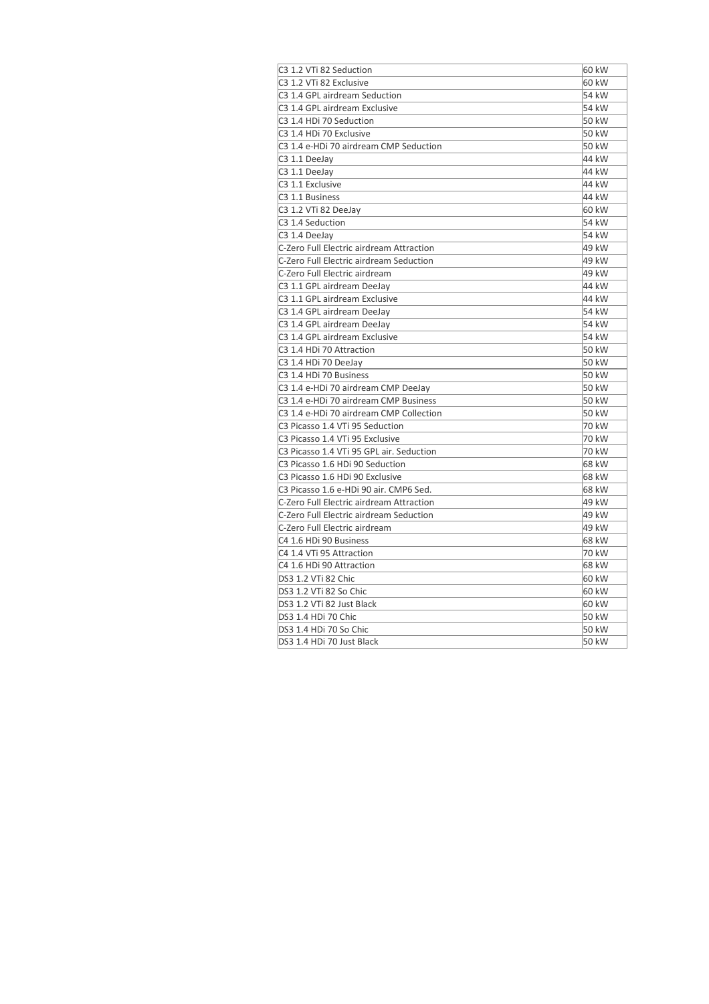| C3 1.2 VTi 82 Seduction                  | 60 kW |
|------------------------------------------|-------|
| C3 1.2 VTi 82 Exclusive                  | 60 kW |
| C3 1.4 GPL airdream Seduction            | 54 kW |
| C3 1.4 GPL airdream Exclusive            | 54 kW |
| C3 1.4 HDi 70 Seduction                  | 50 kW |
| C3 1.4 HDi 70 Exclusive                  | 50 kW |
| C3 1.4 e-HDi 70 airdream CMP Seduction   | 50 kW |
| C3 1.1 DeeJay                            | 44 kW |
| C3 1.1 DeeJay                            | 44 kW |
| C3 1.1 Exclusive                         | 44 kW |
| C <sub>3</sub> 1.1 Business              | 44 kW |
| C3 1.2 VTi 82 DeeJay                     | 60 kW |
| C3 1.4 Seduction                         | 54 kW |
| C3 1.4 DeeJay                            | 54 kW |
| C-Zero Full Electric airdream Attraction | 49 kW |
| C-Zero Full Electric airdream Seduction  | 49 kW |
| C-Zero Full Electric airdream            | 49 kW |
| C3 1.1 GPL airdream DeeJay               | 44 kW |
| C3 1.1 GPL airdream Exclusive            | 44 kW |
| C3 1.4 GPL airdream DeeJay               | 54 kW |
| C3 1.4 GPL airdream DeeJay               | 54 kW |
| C3 1.4 GPL airdream Exclusive            | 54 kW |
| C3 1.4 HDi 70 Attraction                 | 50 kW |
| C3 1.4 HDi 70 DeeJay                     | 50 kW |
| C3 1.4 HDi 70 Business                   | 50 kW |
| C3 1.4 e-HDi 70 airdream CMP DeeJay      | 50 kW |
| C3 1.4 e-HDi 70 airdream CMP Business    | 50 kW |
| C3 1.4 e-HDi 70 airdream CMP Collection  | 50 kW |
| C3 Picasso 1.4 VTi 95 Seduction          | 70 kW |
| C3 Picasso 1.4 VTi 95 Exclusive          | 70 kW |
| C3 Picasso 1.4 VTi 95 GPL air. Seduction | 70 kW |
| C3 Picasso 1.6 HDi 90 Seduction          | 68 kW |
| C3 Picasso 1.6 HDi 90 Exclusive          | 68 kW |
| C3 Picasso 1.6 e-HDi 90 air. CMP6 Sed.   | 68 kW |
| C-Zero Full Electric airdream Attraction | 49 kW |
| C-Zero Full Electric airdream Seduction  | 49 kW |
| C-Zero Full Electric airdream            | 49 kW |
| C4 1.6 HDi 90 Business                   | 68 kW |
| C4 1.4 VTi 95 Attraction                 | 70 kW |
| C4 1.6 HDi 90 Attraction                 | 68 kW |
| DS3 1.2 VTi 82 Chic                      | 60 kW |
| DS3 1.2 VTi 82 So Chic                   | 60 kW |
| DS3 1.2 VTi 82 Just Black                | 60 kW |
| DS3 1.4 HDi 70 Chic                      | 50 kW |
| DS3 1.4 HDi 70 So Chic                   | 50 kW |
| DS3 1.4 HDi 70 Just Black                | 50 kW |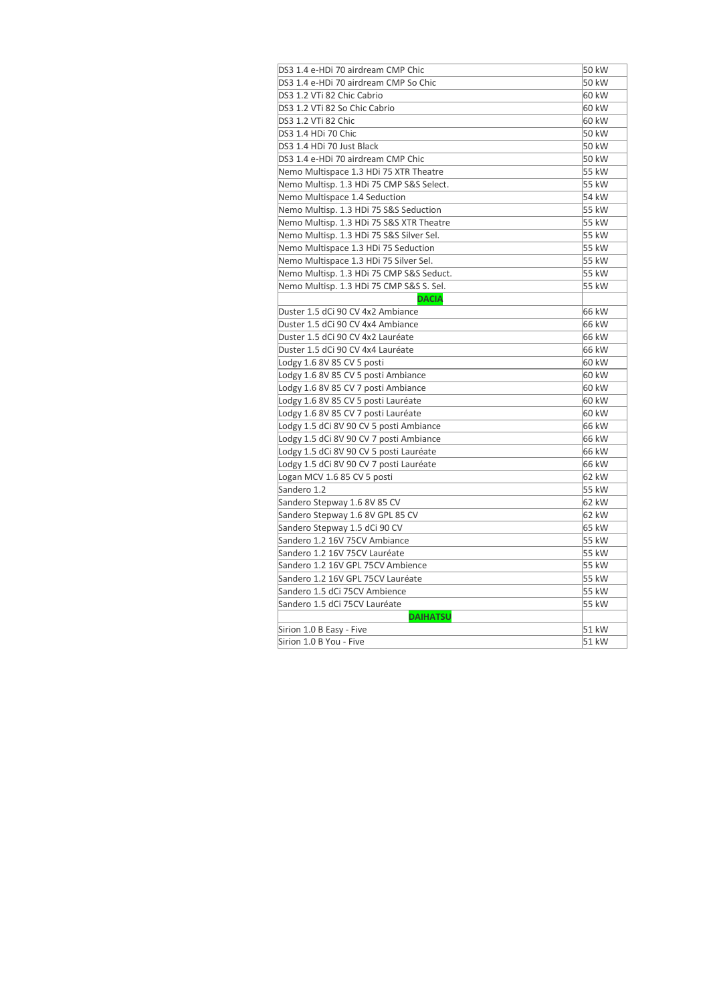| DS3 1.4 e-HDi 70 airdream CMP Chic       | 50 kW |
|------------------------------------------|-------|
| DS3 1.4 e-HDi 70 airdream CMP So Chic    | 50 kW |
| DS3 1.2 VTi 82 Chic Cabrio               | 60 kW |
| DS3 1.2 VTi 82 So Chic Cabrio            | 60 kW |
| DS3 1.2 VTi 82 Chic                      | 60 kW |
| DS3 1.4 HDi 70 Chic                      | 50 kW |
| DS3 1.4 HDi 70 Just Black                | 50 kW |
| DS3 1.4 e-HDi 70 airdream CMP Chic       | 50 kW |
| Nemo Multispace 1.3 HDi 75 XTR Theatre   | 55 kW |
| Nemo Multisp. 1.3 HDi 75 CMP S&S Select. | 55 kW |
| Nemo Multispace 1.4 Seduction            | 54 kW |
| Nemo Multisp. 1.3 HDi 75 S&S Seduction   | 55 kW |
| Nemo Multisp. 1.3 HDi 75 S&S XTR Theatre | 55 kW |
| Nemo Multisp. 1.3 HDi 75 S&S Silver Sel. | 55 kW |
| Nemo Multispace 1.3 HDi 75 Seduction     | 55 kW |
| Nemo Multispace 1.3 HDi 75 Silver Sel.   | 55 kW |
| Nemo Multisp. 1.3 HDi 75 CMP S&S Seduct. | 55 kW |
| Nemo Multisp. 1.3 HDi 75 CMP S&S S. Sel. | 55 kW |
| <b>DACIA</b>                             |       |
| Duster 1.5 dCi 90 CV 4x2 Ambiance        | 66 kW |
| Duster 1.5 dCi 90 CV 4x4 Ambiance        | 66 kW |
| Duster 1.5 dCi 90 CV 4x2 Lauréate        | 66 kW |
| Duster 1.5 dCi 90 CV 4x4 Lauréate        | 66 kW |
| Lodgy 1.6 8V 85 CV 5 posti               | 60 kW |
| Lodgy 1.6 8V 85 CV 5 posti Ambiance      | 60 kW |
| Lodgy 1.6 8V 85 CV 7 posti Ambiance      | 60 kW |
| Lodgy 1.6 8V 85 CV 5 posti Lauréate      | 60 kW |
| Lodgy 1.6 8V 85 CV 7 posti Lauréate      | 60 kW |
| Lodgy 1.5 dCi 8V 90 CV 5 posti Ambiance  | 66 kW |
| Lodgy 1.5 dCi 8V 90 CV 7 posti Ambiance  | 66 kW |
| Lodgy 1.5 dCi 8V 90 CV 5 posti Lauréate  | 66 kW |
| Lodgy 1.5 dCi 8V 90 CV 7 posti Lauréate  | 66 kW |
| Logan MCV 1.6 85 CV 5 posti              | 62 kW |
| Sandero 1.2                              | 55 kW |
| Sandero Stepway 1.6 8V 85 CV             | 62 kW |
| Sandero Stepway 1.6 8V GPL 85 CV         | 62 kW |
| Sandero Stepway 1.5 dCi 90 CV            | 65 kW |
| Sandero 1.2 16V 75CV Ambiance            | 55 kW |
| Sandero 1.2 16V 75CV Lauréate            | 55 kW |
| Sandero 1.2 16V GPL 75CV Ambience        | 55 kW |
| Sandero 1.2 16V GPL 75CV Lauréate        | 55 kW |
| Sandero 1.5 dCi 75CV Ambience            | 55 kW |
| Sandero 1.5 dCi 75CV Lauréate            | 55 kW |
| <b>DAIHATSU</b>                          |       |
| Sirion 1.0 B Easy - Five                 | 51 kW |
| Sirion 1.0 B You - Five                  | 51 kW |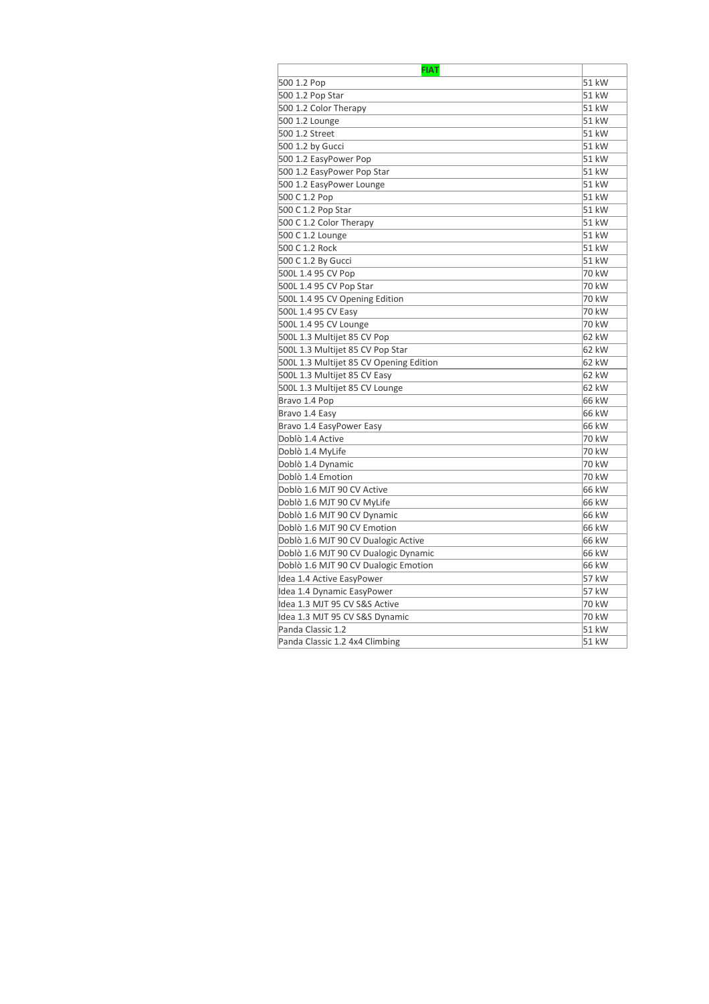| <b>FIAT</b>                             |        |
|-----------------------------------------|--------|
| 500 1.2 Pop                             | 51 kW  |
| 500 1.2 Pop Star                        | 51 kW  |
| 500 1.2 Color Therapy                   | 51 kW  |
| 500 1.2 Lounge                          | 51 kW  |
| 500 1.2 Street                          | 51 kW  |
| 500 1.2 by Gucci                        | 51 kW  |
| 500 1.2 EasyPower Pop                   | 51 kW  |
| 500 1.2 EasyPower Pop Star              | 51 kW  |
| 500 1.2 EasyPower Lounge                | 51 kW  |
| 500 C 1.2 Pop                           | 51 kW  |
| 500 C 1.2 Pop Star                      | 51 kW  |
| 500 C 1.2 Color Therapy                 | 51 kW  |
| 500 C 1.2 Lounge                        | 51 kW  |
| 500 C 1.2 Rock                          | 51 kW  |
| 500 C 1.2 By Gucci                      | 51 kW  |
| 500L 1.4 95 CV Pop                      | 70 kW  |
| 500L 1.4 95 CV Pop Star                 | 70 kW  |
| 500L 1.4 95 CV Opening Edition          | 70 kW  |
| 500L 1.4 95 CV Easy                     | 70 kW  |
| 500L 1.4 95 CV Lounge                   | 70 kW  |
| 500L 1.3 Multijet 85 CV Pop             | 62 kW  |
| 500L 1.3 Multijet 85 CV Pop Star        | 62 kW  |
| 500L 1.3 Multijet 85 CV Opening Edition | 62 kW  |
| 500L 1.3 Multijet 85 CV Easy            | 62 kW  |
| 500L 1.3 Multijet 85 CV Lounge          | 62 kW  |
| Bravo 1.4 Pop                           | 166 kW |
| Bravo 1.4 Easy                          | 66 kW  |
| Bravo 1.4 EasyPower Easy                | 66 kW  |
| Doblò 1.4 Active                        | 70 kW  |
| Doblò 1.4 MyLife                        | 70 kW  |
| Doblò 1.4 Dynamic                       | 70 kW  |
| Doblò 1.4 Emotion                       | 70 kW  |
| Doblò 1.6 MJT 90 CV Active              | 66 kW  |
| Doblò 1.6 MJT 90 CV MyLife              | 166 kW |
| Doblò 1.6 MJT 90 CV Dynamic             | 66 kW  |
| Doblò 1.6 MJT 90 CV Emotion             | 66 kW  |
| Doblò 1.6 MJT 90 CV Dualogic Active     | 66 kW  |
| Doblò 1.6 MJT 90 CV Dualogic Dynamic    | 66 kW  |
| Doblò 1.6 MJT 90 CV Dualogic Emotion    | 66 kW  |
| Idea 1.4 Active EasyPower               | 57 kW  |
| Idea 1.4 Dynamic EasyPower              | 57 kW  |
| ldea 1.3 MJT 95 CV S&S Active           | 70 kW  |
| Idea 1.3 MJT 95 CV S&S Dynamic          | 70 kW  |
| Panda Classic 1.2                       | 51 kW  |
| Panda Classic 1.2 4x4 Climbing          | 51 kW  |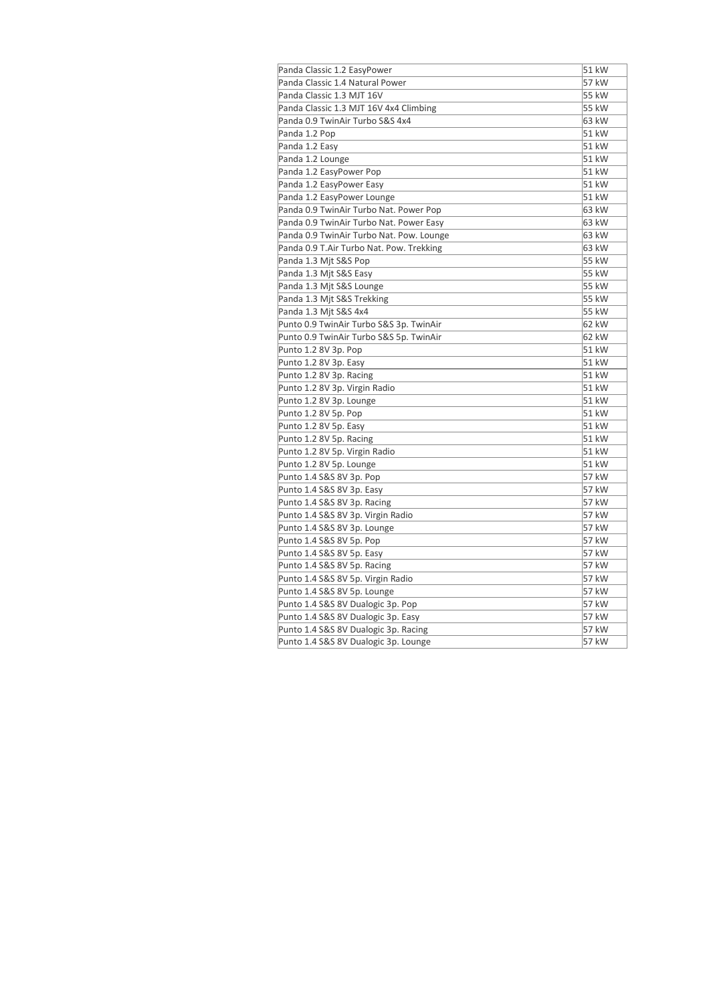| Panda Classic 1.2 EasyPower              | 51 kW |
|------------------------------------------|-------|
| Panda Classic 1.4 Natural Power          | 57 kW |
| Panda Classic 1.3 MJT 16V                | 55 kW |
| Panda Classic 1.3 MJT 16V 4x4 Climbing   | 55 kW |
| Panda 0.9 TwinAir Turbo S&S 4x4          | 63 kW |
| Panda 1.2 Pop                            | 51 kW |
| Panda 1.2 Easy                           | 51 kW |
| Panda 1.2 Lounge                         | 51 kW |
| Panda 1.2 EasyPower Pop                  | 51 kW |
| Panda 1.2 EasyPower Easy                 | 51 kW |
| Panda 1.2 EasyPower Lounge               | 51 kW |
| Panda 0.9 TwinAir Turbo Nat. Power Pop   | 63 kW |
| Panda 0.9 TwinAir Turbo Nat. Power Easy  | 63 kW |
| Panda 0.9 TwinAir Turbo Nat. Pow. Lounge | 63 kW |
| Panda 0.9 T.Air Turbo Nat. Pow. Trekking | 63 kW |
| Panda 1.3 Mjt S&S Pop                    | 55 kW |
| Panda 1.3 Mjt S&S Easy                   | 55 kW |
| Panda 1.3 Mjt S&S Lounge                 | 55 kW |
| Panda 1.3 Mjt S&S Trekking               | 55 kW |
| Panda 1.3 Mjt S&S 4x4                    | 55 kW |
| Punto 0.9 TwinAir Turbo S&S 3p. TwinAir  | 62 kW |
| Punto 0.9 TwinAir Turbo S&S 5p. TwinAir  | 62 kW |
| Punto 1.2 8V 3p. Pop                     | 51 kW |
| Punto 1.2 8V 3p. Easy                    | 51 kW |
| Punto 1.2 8V 3p. Racing                  | 51 kW |
| Punto 1.2 8V 3p. Virgin Radio            | 51 kW |
| Punto 1.2 8V 3p. Lounge                  | 51 kW |
| Punto 1.2 8V 5p. Pop                     | 51 kW |
| Punto 1.2 8V 5p. Easy                    | 51 kW |
| Punto 1.2 8V 5p. Racing                  | 51 kW |
| Punto 1.2 8V 5p. Virgin Radio            | 51 kW |
| Punto 1.2 8V 5p. Lounge                  | 51 kW |
| Punto 1.4 S&S 8V 3p. Pop                 | 57 kW |
| Punto 1.4 S&S 8V 3p. Easy                | 57 kW |
| Punto 1.4 S&S 8V 3p. Racing              | 57 kW |
| Punto 1.4 S&S 8V 3p. Virgin Radio        | 57 kW |
| Punto 1.4 S&S 8V 3p. Lounge              | 57 kW |
| Punto 1.4 S&S 8V 5p. Pop                 | 57 kW |
| Punto 1.4 S&S 8V 5p. Easy                | 57 kW |
| Punto 1.4 S&S 8V 5p. Racing              | 57 kW |
| Punto 1.4 S&S 8V 5p. Virgin Radio        | 57 kW |
| Punto 1.4 S&S 8V 5p. Lounge              | 57 kW |
| Punto 1.4 S&S 8V Dualogic 3p. Pop        | 57 kW |
| Punto 1.4 S&S 8V Dualogic 3p. Easy       | 57 kW |
| Punto 1.4 S&S 8V Dualogic 3p. Racing     | 57 kW |
| Punto 1.4 S&S 8V Dualogic 3p. Lounge     | 57 kW |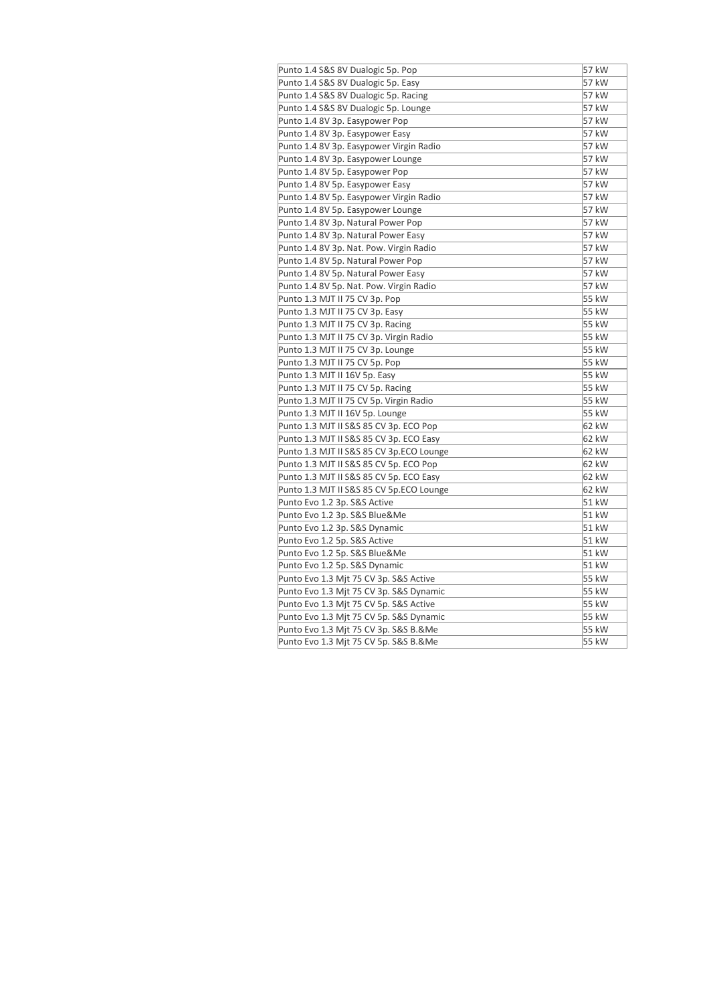| Punto 1.4 S&S 8V Dualogic 5p. Pop        | 57 kW |
|------------------------------------------|-------|
| Punto 1.4 S&S 8V Dualogic 5p. Easy       | 57 kW |
| Punto 1.4 S&S 8V Dualogic 5p. Racing     | 57 kW |
| Punto 1.4 S&S 8V Dualogic 5p. Lounge     | 57 kW |
| Punto 1.4 8V 3p. Easypower Pop           | 57 kW |
| Punto 1.4 8V 3p. Easypower Easy          | 57 kW |
| Punto 1.4 8V 3p. Easypower Virgin Radio  | 57 kW |
| Punto 1.4 8V 3p. Easypower Lounge        | 57 kW |
| Punto 1.4 8V 5p. Easypower Pop           | 57 kW |
| Punto 1.4 8V 5p. Easypower Easy          | 57 kW |
| Punto 1.4 8V 5p. Easypower Virgin Radio  | 57 kW |
| Punto 1.4 8V 5p. Easypower Lounge        | 57 kW |
| Punto 1.4 8V 3p. Natural Power Pop       | 57 kW |
| Punto 1.4 8V 3p. Natural Power Easy      | 57 kW |
| Punto 1.4 8V 3p. Nat. Pow. Virgin Radio  | 57 kW |
| Punto 1.4 8V 5p. Natural Power Pop       | 57 kW |
| Punto 1.4 8V 5p. Natural Power Easy      | 57 kW |
| Punto 1.4 8V 5p. Nat. Pow. Virgin Radio  | 57 kW |
| Punto 1.3 MJT II 75 CV 3p. Pop           | 55 kW |
| Punto 1.3 MJT II 75 CV 3p. Easy          | 55 kW |
| Punto 1.3 MJT II 75 CV 3p. Racing        | 55 kW |
| Punto 1.3 MJT II 75 CV 3p. Virgin Radio  | 55 kW |
| Punto 1.3 MJT II 75 CV 3p. Lounge        | 55 kW |
| Punto 1.3 MJT II 75 CV 5p. Pop           | 55 kW |
| Punto 1.3 MJT II 16V 5p. Easy            | 55 kW |
| Punto 1.3 MJT II 75 CV 5p. Racing        | 55 kW |
| Punto 1.3 MJT II 75 CV 5p. Virgin Radio  | 55 kW |
| Punto 1.3 MJT II 16V 5p. Lounge          | 55 kW |
| Punto 1.3 MJT II S&S 85 CV 3p. ECO Pop   | 62 kW |
| Punto 1.3 MJT II S&S 85 CV 3p. ECO Easy  | 62 kW |
| Punto 1.3 MJT II S&S 85 CV 3p.ECO Lounge | 62 kW |
| Punto 1.3 MJT II S&S 85 CV 5p. ECO Pop   | 62 kW |
| Punto 1.3 MJT II S&S 85 CV 5p. ECO Easy  | 62 kW |
| Punto 1.3 MJT II S&S 85 CV 5p.ECO Lounge | 62 kW |
| Punto Evo 1.2 3p. S&S Active             | 51 kW |
| Punto Evo 1.2 3p. S&S Blue&Me            | 51 kW |
| Punto Evo 1.2 3p. S&S Dynamic            | 51 kW |
| Punto Evo 1.2 5p. S&S Active             | 51 kW |
| Punto Evo 1.2 5p. S&S Blue&Me            | 51 kW |
| Punto Evo 1.2 5p. S&S Dynamic            | 51 kW |
| Punto Evo 1.3 Mjt 75 CV 3p. S&S Active   | 55 kW |
| Punto Evo 1.3 Mjt 75 CV 3p. S&S Dynamic  | 55 kW |
| Punto Evo 1.3 Mjt 75 CV 5p. S&S Active   | 55 kW |
| Punto Evo 1.3 Mjt 75 CV 5p. S&S Dynamic  | 55 kW |
| Punto Evo 1.3 Mjt 75 CV 3p. S&S B.&Me    | 55 kW |
| Punto Evo 1.3 Mjt 75 CV 5p. S&S B.&Me    | 55 kW |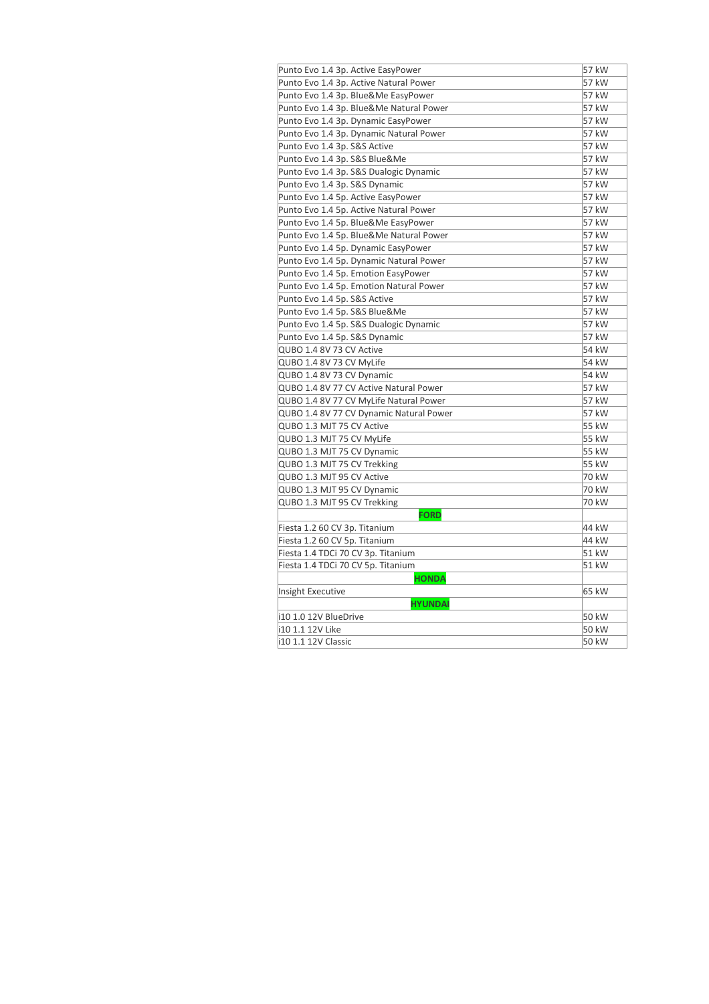| Punto Evo 1.4 3p. Active EasyPower      | 57 kW |
|-----------------------------------------|-------|
| Punto Evo 1.4 3p. Active Natural Power  | 57 kW |
| Punto Evo 1.4 3p. Blue&Me EasyPower     | 57 kW |
| Punto Evo 1.4 3p. Blue&Me Natural Power | 57 kW |
| Punto Evo 1.4 3p. Dynamic EasyPower     | 57 kW |
| Punto Evo 1.4 3p. Dynamic Natural Power | 57 kW |
| Punto Evo 1.4 3p. S&S Active            | 57 kW |
| Punto Evo 1.4 3p. S&S Blue&Me           | 57 kW |
| Punto Evo 1.4 3p. S&S Dualogic Dynamic  | 57 kW |
| Punto Evo 1.4 3p. S&S Dynamic           | 57 kW |
| Punto Evo 1.4 5p. Active EasyPower      | 57 kW |
| Punto Evo 1.4 5p. Active Natural Power  | 57 kW |
| Punto Evo 1.4 5p. Blue&Me EasyPower     | 57 kW |
| Punto Evo 1.4 5p. Blue&Me Natural Power | 57 kW |
| Punto Evo 1.4 5p. Dynamic EasyPower     | 57 kW |
| Punto Evo 1.4 5p. Dynamic Natural Power | 57 kW |
| Punto Evo 1.4 5p. Emotion EasyPower     | 57 kW |
| Punto Evo 1.4 5p. Emotion Natural Power | 57 kW |
| Punto Evo 1.4 5p. S&S Active            | 57 kW |
| Punto Evo 1.4 5p. S&S Blue&Me           | 57 kW |
| Punto Evo 1.4 5p. S&S Dualogic Dynamic  | 57 kW |
| Punto Evo 1.4 5p. S&S Dynamic           | 57 kW |
| QUBO 1.4 8V 73 CV Active                | 54 kW |
| QUBO 1.4 8V 73 CV MyLife                | 54 kW |
| QUBO 1.4 8V 73 CV Dynamic               | 54 kW |
| QUBO 1.4 8V 77 CV Active Natural Power  | 57 kW |
| QUBO 1.4 8V 77 CV MyLife Natural Power  | 57 kW |
| QUBO 1.4 8V 77 CV Dynamic Natural Power | 57 kW |
| QUBO 1.3 MJT 75 CV Active               | 55 kW |
| QUBO 1.3 MJT 75 CV MyLife               | 55 kW |
| QUBO 1.3 MJT 75 CV Dynamic              | 55 kW |
| QUBO 1.3 MJT 75 CV Trekking             | 55 kW |
| QUBO 1.3 MJT 95 CV Active               | 70 kW |
| QUBO 1.3 MJT 95 CV Dynamic              | 70 kW |
| QUBO 1.3 MJT 95 CV Trekking             | 70 kW |
| <b>FORD</b>                             |       |
| Fiesta 1.2 60 CV 3p. Titanium           | 44 kW |
| Fiesta 1.2 60 CV 5p. Titanium           | 44 kW |
| Fiesta 1.4 TDCi 70 CV 3p. Titanium      | 51 kW |
| Fiesta 1.4 TDCi 70 CV 5p. Titanium      | 51 kW |
| <b>HONDA</b>                            |       |
| Insight Executive                       | 65 kW |
| <b>HYUNDAI</b>                          |       |
| i10 1.0 12V BlueDrive                   | 50 kW |
| i10 1.1 12V Like                        | 50 kW |
| i10 1.1 12V Classic                     | 50 kW |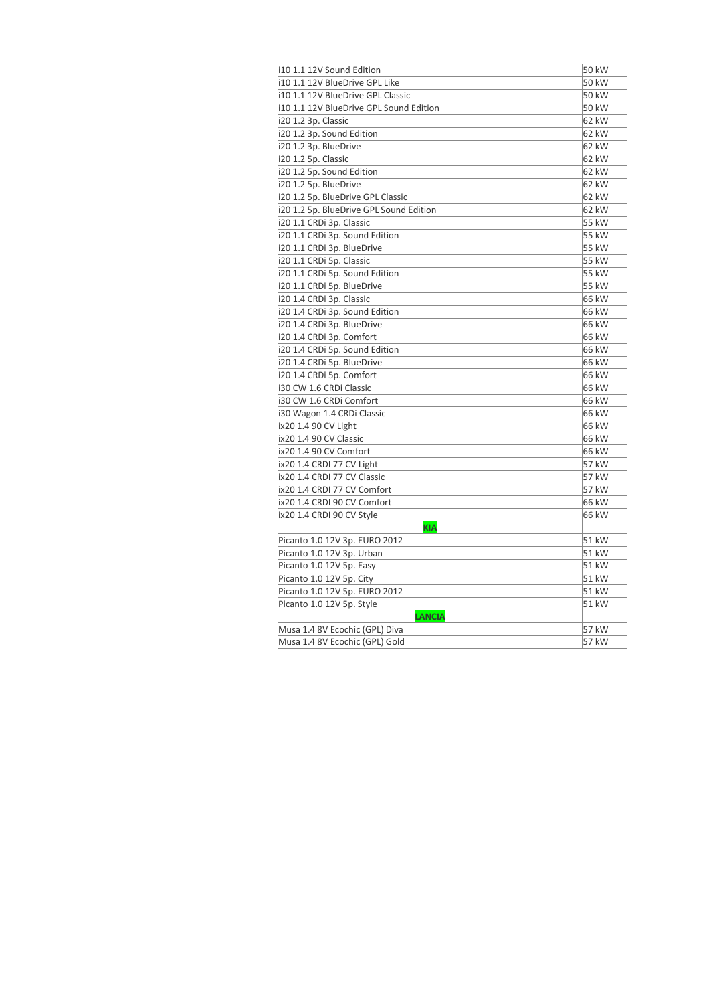| i10 1.1 12V Sound Edition               | 50 kW |
|-----------------------------------------|-------|
| i10 1.1 12V BlueDrive GPL Like          | 50 kW |
| i10 1.1 12V BlueDrive GPL Classic       | 50 kW |
| i10 1.1 12V BlueDrive GPL Sound Edition | 50 kW |
| i20 1.2 3p. Classic                     | 62 kW |
| i20 1.2 3p. Sound Edition               | 62 kW |
| i20 1.2 3p. BlueDrive                   | 62 kW |
| i20 1.2 5p. Classic                     | 62 kW |
| i20 1.2 5p. Sound Edition               | 62 kW |
| i20 1.2 5p. BlueDrive                   | 62 kW |
| i20 1.2 5p. BlueDrive GPL Classic       | 62 kW |
| i20 1.2 5p. BlueDrive GPL Sound Edition | 62 kW |
| i20 1.1 CRDi 3p. Classic                | 55 kW |
| i20 1.1 CRDi 3p. Sound Edition          | 55 kW |
| i20 1.1 CRDi 3p. BlueDrive              | 55 kW |
| i20 1.1 CRDi 5p. Classic                | 55 kW |
| i20 1.1 CRDi 5p. Sound Edition          | 55 kW |
| i20 1.1 CRDi 5p. BlueDrive              | 55 kW |
| i20 1.4 CRDi 3p. Classic                | 66 kW |
| i20 1.4 CRDi 3p. Sound Edition          | 66 kW |
| i20 1.4 CRDi 3p. BlueDrive              | 66 kW |
| i20 1.4 CRDi 3p. Comfort                | 66 kW |
| i20 1.4 CRDi 5p. Sound Edition          | 66 kW |
| i20 1.4 CRDi 5p. BlueDrive              | 66 kW |
| i20 1.4 CRDi 5p. Comfort                | 66 kW |
| i30 CW 1.6 CRDi Classic                 | 66 kW |
| i30 CW 1.6 CRDi Comfort                 | 66 kW |
| i30 Wagon 1.4 CRDi Classic              | 66 kW |
| ix20 1.4 90 CV Light                    | 66 kW |
| ix20 1.4 90 CV Classic                  | 66 kW |
| ix20 1.4 90 CV Comfort                  | 66 kW |
| ix20 1.4 CRDI 77 CV Light               | 57 kW |
| ix20 1.4 CRDI 77 CV Classic             | 57 kW |
| ix20 1.4 CRDI 77 CV Comfort             | 57 kW |
| ix20 1.4 CRDI 90 CV Comfort             | 66 kW |
| ix20 1.4 CRDI 90 CV Style               | 66 kW |
| <b>KIA</b>                              |       |
| Picanto 1.0 12V 3p. EURO 2012           | 51 kW |
| Picanto 1.0 12V 3p. Urban               | 51 kW |
| Picanto 1.0 12V 5p. Easy                | 51 kW |
| Picanto 1.0 12V 5p. City                | 51 kW |
| Picanto 1.0 12V 5p. EURO 2012           | 51 kW |
| Picanto 1.0 12V 5p. Style               | 51 kW |
| <b>LANCIA</b>                           |       |
| Musa 1.4 8V Ecochic (GPL) Diva          | 57 kW |
| Musa 1.4 8V Ecochic (GPL) Gold          | 57 kW |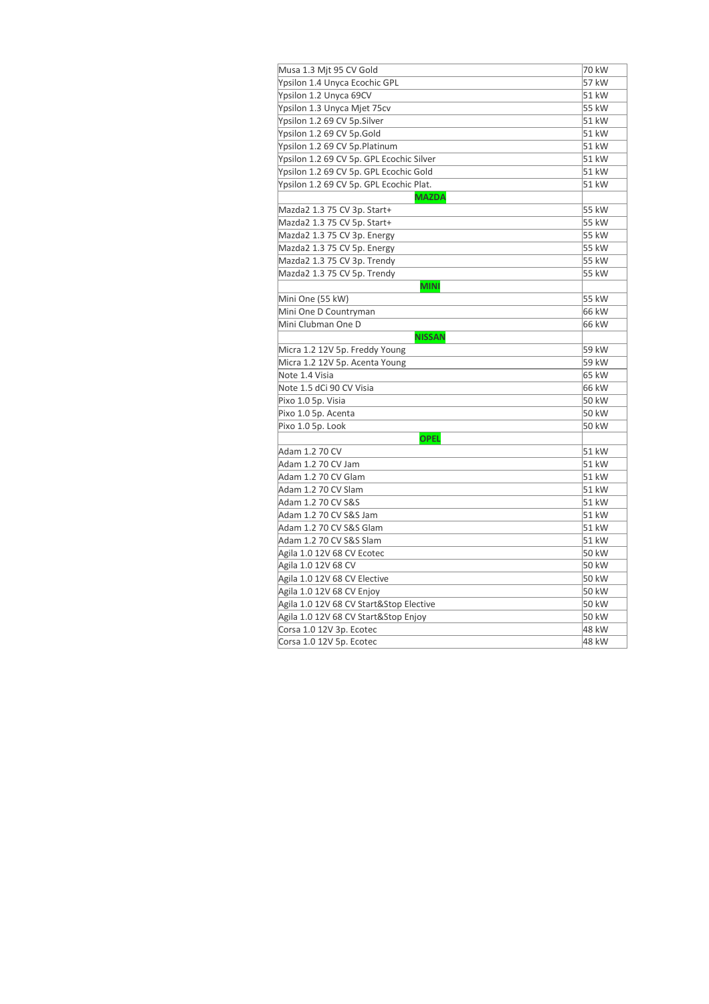| Musa 1.3 Mjt 95 CV Gold                  | 70 kW |
|------------------------------------------|-------|
| Ypsilon 1.4 Unyca Ecochic GPL            | 57 kW |
| Ypsilon 1.2 Unyca 69CV                   | 51 kW |
| Ypsilon 1.3 Unyca Mjet 75cv              | 55 kW |
| Ypsilon 1.2 69 CV 5p.Silver              | 51 kW |
| Ypsilon 1.2 69 CV 5p.Gold                | 51 kW |
| Ypsilon 1.2 69 CV 5p.Platinum            | 51 kW |
| Ypsilon 1.2 69 CV 5p. GPL Ecochic Silver | 51 kW |
| Ypsilon 1.2 69 CV 5p. GPL Ecochic Gold   | 51 kW |
| Ypsilon 1.2 69 CV 5p. GPL Ecochic Plat.  | 51 kW |
| <b>MAZDA</b>                             |       |
| Mazda2 1.3 75 CV 3p. Start+              | 55 kW |
| Mazda2 1.3 75 CV 5p. Start+              | 55 kW |
| Mazda2 1.3 75 CV 3p. Energy              | 55 kW |
| Mazda2 1.3 75 CV 5p. Energy              | 55 kW |
| Mazda2 1.3 75 CV 3p. Trendy              | 55 kW |
| Mazda2 1.3 75 CV 5p. Trendy              | 55 kW |
| <b>MINI</b>                              |       |
| Mini One (55 kW)                         | 55 kW |
| Mini One D Countryman                    | 66 kW |
| Mini Clubman One D                       | 66 kW |
| <b>NISSAN</b>                            |       |
| Micra 1.2 12V 5p. Freddy Young           | 59 kW |
| Micra 1.2 12V 5p. Acenta Young           | 59 kW |
| Note 1.4 Visia                           | 65 kW |
| Note 1.5 dCi 90 CV Visia                 | 66 kW |
| Pixo 1.0 5p. Visia                       | 50 kW |
| Pixo 1.0 5p. Acenta                      | 50 kW |
| Pixo 1.0 5p. Look                        | 50 kW |
| <b>OPEL</b>                              |       |
| Adam 1.2 70 CV                           | 51 kW |
| Adam 1.2 70 CV Jam                       | 51 kW |
| Adam 1.2 70 CV Glam                      | 51 kW |
| Adam 1.2 70 CV Slam                      | 51 kW |
| Adam 1.2 70 CV S&S                       | 51 kW |
| Adam 1.2 70 CV S&S Jam                   | 51 kW |
| Adam 1.2 70 CV S&S Glam                  | 51 kW |
| Adam 1.2 70 CV S&S Slam                  | 51 kW |
| Agila 1.0 12V 68 CV Ecotec               | 50 kW |
| Agila 1.0 12V 68 CV                      | 50 kW |
| Agila 1.0 12V 68 CV Elective             | 50 kW |
| Agila 1.0 12V 68 CV Enjoy                | 50 kW |
| Agila 1.0 12V 68 CV Start&Stop Elective  | 50 kW |
| Agila 1.0 12V 68 CV Start&Stop Enjoy     | 50 kW |
| Corsa 1.0 12V 3p. Ecotec                 | 48 kW |
| Corsa 1.0 12V 5p. Ecotec                 | 48 kW |
|                                          |       |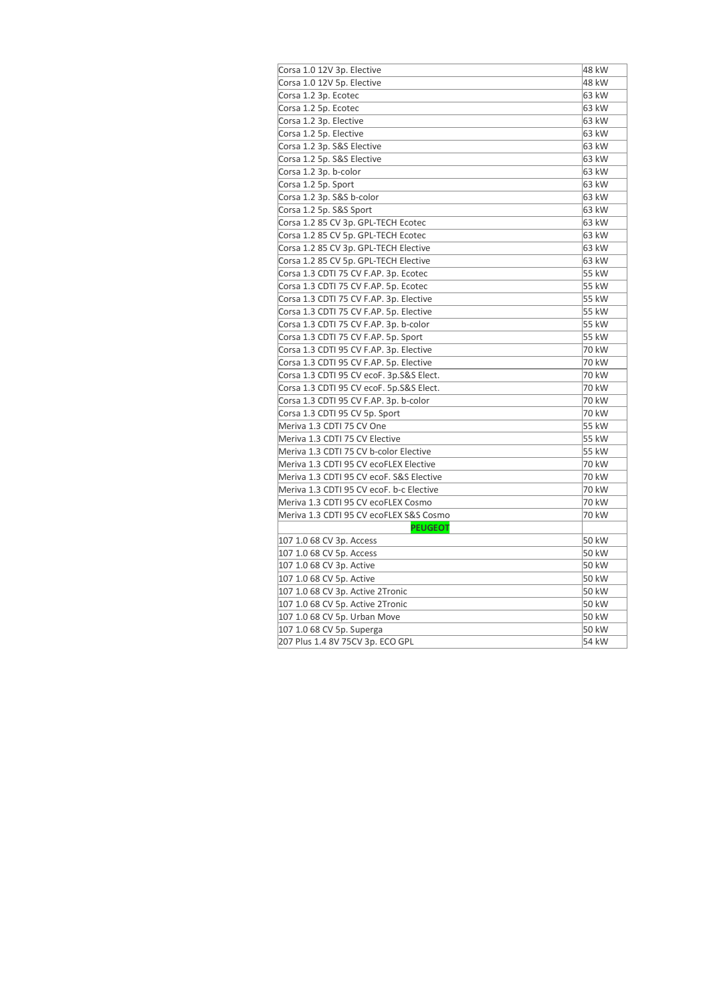| Corsa 1.0 12V 3p. Elective               | 48 kW |
|------------------------------------------|-------|
| Corsa 1.0 12V 5p. Elective               | 48 kW |
| Corsa 1.2 3p. Ecotec                     | 63 kW |
| Corsa 1.2 5p. Ecotec                     | 63 kW |
| Corsa 1.2 3p. Elective                   | 63 kW |
| Corsa 1.2 5p. Elective                   | 63 kW |
| Corsa 1.2 3p. S&S Elective               | 63 kW |
| Corsa 1.2 5p. S&S Elective               | 63 kW |
| Corsa 1.2 3p. b-color                    | 63 kW |
| Corsa 1.2 5p. Sport                      | 63 kW |
| Corsa 1.2 3p. S&S b-color                | 63 kW |
| Corsa 1.2 5p. S&S Sport                  | 63 kW |
| Corsa 1.2 85 CV 3p. GPL-TECH Ecotec      | 63 kW |
| Corsa 1.2 85 CV 5p. GPL-TECH Ecotec      | 63 kW |
| Corsa 1.2 85 CV 3p. GPL-TECH Elective    | 63 kW |
| Corsa 1.2 85 CV 5p. GPL-TECH Elective    | 63 kW |
| Corsa 1.3 CDTI 75 CV F.AP. 3p. Ecotec    | 55 kW |
| Corsa 1.3 CDTI 75 CV F.AP. 5p. Ecotec    | 55 kW |
| Corsa 1.3 CDTI 75 CV F.AP. 3p. Elective  | 55 kW |
| Corsa 1.3 CDTI 75 CV F.AP. 5p. Elective  | 55 kW |
| Corsa 1.3 CDTI 75 CV F.AP. 3p. b-color   | 55 kW |
| Corsa 1.3 CDTI 75 CV F.AP. 5p. Sport     | 55 kW |
| Corsa 1.3 CDTI 95 CV F.AP. 3p. Elective  | 70 kW |
| Corsa 1.3 CDTI 95 CV F.AP. 5p. Elective  | 70 kW |
| Corsa 1.3 CDTI 95 CV ecoF. 3p.S&S Elect. | 70 kW |
| Corsa 1.3 CDTI 95 CV ecoF. 5p.S&S Elect. | 70 kW |
| Corsa 1.3 CDTI 95 CV F.AP. 3p. b-color   | 70 kW |
| Corsa 1.3 CDTI 95 CV 5p. Sport           | 70 kW |
| Meriva 1.3 CDTI 75 CV One                | 55 kW |
| Meriva 1.3 CDTI 75 CV Elective           | 55 kW |
| Meriva 1.3 CDTI 75 CV b-color Elective   | 55 kW |
| Meriva 1.3 CDTI 95 CV ecoFLEX Elective   | 70 kW |
| Meriva 1.3 CDTI 95 CV ecoF. S&S Elective | 70 kW |
| Meriva 1.3 CDTI 95 CV ecoF. b-c Elective | 70 kW |
| Meriva 1.3 CDTI 95 CV ecoFLEX Cosmo      | 70 kW |
| Meriva 1.3 CDTI 95 CV ecoFLEX S&S Cosmo  | 70 kW |
| <b>PEUGEOT</b>                           |       |
| 107 1.0 68 CV 3p. Access                 | 50 kW |
| 107 1.0 68 CV 5p. Access                 | 50 kW |
| 107 1.0 68 CV 3p. Active                 | 50 kW |
| 107 1.0 68 CV 5p. Active                 | 50 kW |
| 107 1.0 68 CV 3p. Active 2Tronic         | 50 kW |
| 107 1.0 68 CV 5p. Active 2Tronic         | 50 kW |
| 107 1.0 68 CV 5p. Urban Move             | 50 kW |
| 107 1.0 68 CV 5p. Superga                | 50 kW |
| 207 Plus 1.4 8V 75CV 3p. ECO GPL         | 54 kW |
|                                          |       |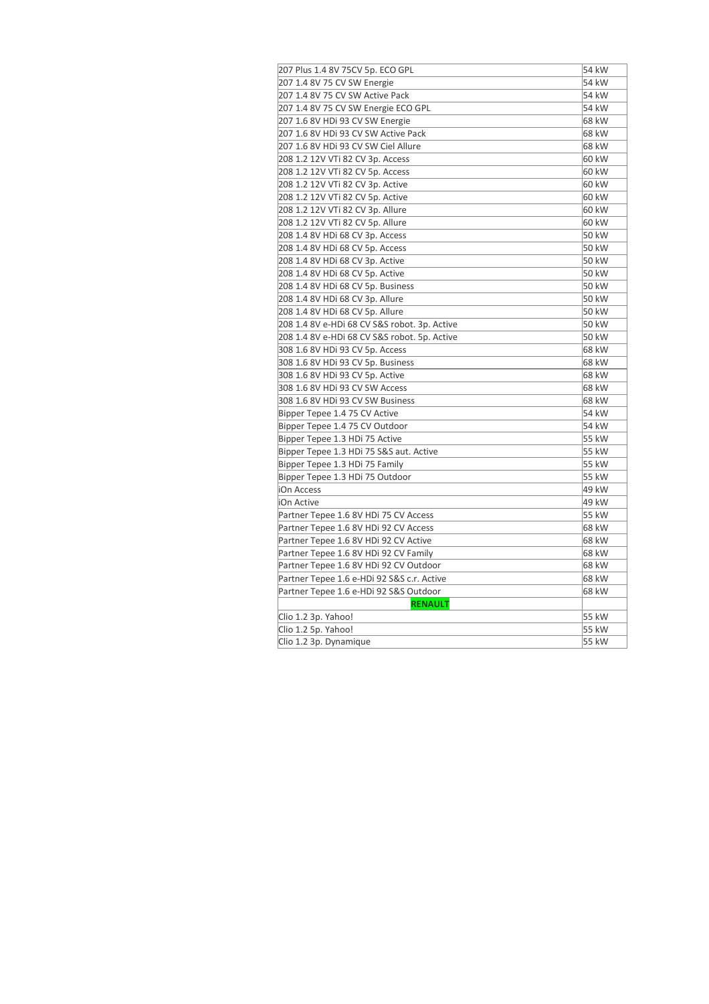| 207 Plus 1.4 8V 75CV 5p. ECO GPL             | 54 kW |
|----------------------------------------------|-------|
| 207 1.4 8V 75 CV SW Energie                  | 54 kW |
| 207 1.4 8V 75 CV SW Active Pack              | 54 kW |
| 207 1.4 8V 75 CV SW Energie ECO GPL          | 54 kW |
| 207 1.6 8V HDi 93 CV SW Energie              | 68 kW |
| 207 1.6 8V HDi 93 CV SW Active Pack          | 68 kW |
| 207 1.6 8V HDi 93 CV SW Ciel Allure          | 68 kW |
| 208 1.2 12V VTi 82 CV 3p. Access             | 60 kW |
| 208 1.2 12V VTi 82 CV 5p. Access             | 60 kW |
| 208 1.2 12V VTi 82 CV 3p. Active             | 60 kW |
| 208 1.2 12V VTi 82 CV 5p. Active             | 60 kW |
| 208 1.2 12V VTi 82 CV 3p. Allure             | 60 kW |
| 208 1.2 12V VTi 82 CV 5p. Allure             | 60 kW |
| 208 1.4 8V HDi 68 CV 3p. Access              | 50 kW |
| 208 1.4 8V HDi 68 CV 5p. Access              | 50 kW |
| 208 1.4 8V HDi 68 CV 3p. Active              | 50 kW |
| 208 1.4 8V HDi 68 CV 5p. Active              | 50 kW |
| 208 1.4 8V HDi 68 CV 5p. Business            | 50 kW |
| 208 1.4 8V HDi 68 CV 3p. Allure              | 50 kW |
| 208 1.4 8V HDi 68 CV 5p. Allure              | 50 kW |
| 208 1.4 8V e-HDi 68 CV S&S robot. 3p. Active | 50 kW |
| 208 1.4 8V e-HDi 68 CV S&S robot. 5p. Active | 50 kW |
| 308 1.6 8V HDi 93 CV 5p. Access              | 68 kW |
| 308 1.6 8V HDi 93 CV 5p. Business            | 68 kW |
| 308 1.6 8V HDi 93 CV 5p. Active              | 68 kW |
| 308 1.6 8V HDi 93 CV SW Access               | 68 kW |
| 308 1.6 8V HDi 93 CV SW Business             | 68 kW |
| Bipper Tepee 1.4 75 CV Active                | 54 kW |
| Bipper Tepee 1.4 75 CV Outdoor               | 54 kW |
| Bipper Tepee 1.3 HDi 75 Active               | 55 kW |
| Bipper Tepee 1.3 HDi 75 S&S aut. Active      | 55 kW |
| Bipper Tepee 1.3 HDi 75 Family               | 55 kW |
| Bipper Tepee 1.3 HDi 75 Outdoor              | 55 kW |
| iOn Access                                   | 49 kW |
| iOn Active                                   | 49 kW |
| Partner Tepee 1.6 8V HDi 75 CV Access        | 55 kW |
| Partner Tepee 1.6 8V HDi 92 CV Access        | 68 kW |
| Partner Tepee 1.6 8V HDi 92 CV Active        | 68 kW |
| Partner Tepee 1.6 8V HDi 92 CV Family        | 68 kW |
| Partner Tepee 1.6 8V HDi 92 CV Outdoor       | 68 kW |
| Partner Tepee 1.6 e-HDi 92 S&S c.r. Active   | 68 kW |
| Partner Tepee 1.6 e-HDi 92 S&S Outdoor       | 68 kW |
| <b>RENAULT</b>                               |       |
| Clio 1.2 3p. Yahoo!                          | 55 kW |
| Clio 1.2 5p. Yahoo!                          | 55 kW |
| Clio 1.2 3p. Dynamique                       | 55 kW |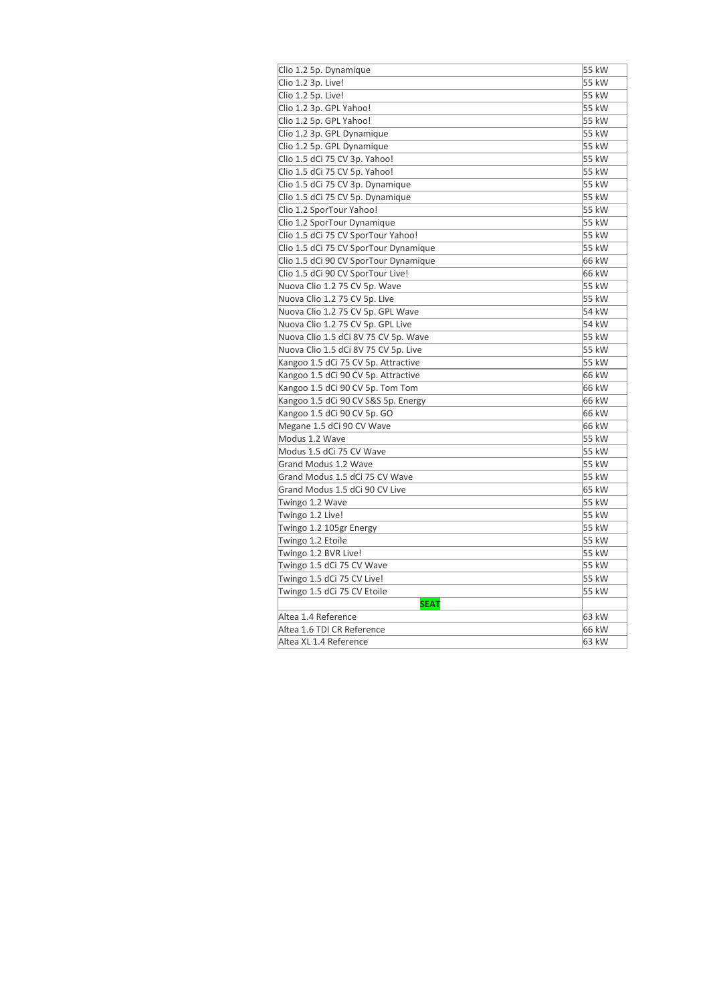| Clio 1.2 5p. Dynamique                | 55 kW |
|---------------------------------------|-------|
| Clio 1.2 3p. Live!                    | 55 kW |
| Clio 1.2 5p. Live!                    | 55 kW |
| Clio 1.2 3p. GPL Yahoo!               | 55 kW |
| Clio 1.2 5p. GPL Yahoo!               | 55 kW |
| Clio 1.2 3p. GPL Dynamique            | 55 kW |
| Clio 1.2 5p. GPL Dynamique            | 55 kW |
| Clio 1.5 dCi 75 CV 3p. Yahoo!         | 55 kW |
| Clio 1.5 dCi 75 CV 5p. Yahoo!         | 55 kW |
| Clio 1.5 dCi 75 CV 3p. Dynamique      | 55 kW |
| Clio 1.5 dCi 75 CV 5p. Dynamique      | 55 kW |
| Clio 1.2 SporTour Yahoo!              | 55 kW |
| Clio 1.2 SporTour Dynamique           | 55 kW |
| Clio 1.5 dCi 75 CV SporTour Yahoo!    | 55 kW |
| Clio 1.5 dCi 75 CV SporTour Dynamique | 55 kW |
| Clio 1.5 dCi 90 CV SporTour Dynamique | 66 kW |
| Clio 1.5 dCi 90 CV SporTour Live!     | 66 kW |
| Nuova Clio 1.2 75 CV 5p. Wave         | 55 kW |
| Nuova Clio 1.2 75 CV 5p. Live         | 55 kW |
| Nuova Clio 1.2 75 CV 5p. GPL Wave     | 54 kW |
| Nuova Clio 1.2 75 CV 5p. GPL Live     | 54 kW |
| Nuova Clio 1.5 dCi 8V 75 CV 5p. Wave  | 55 kW |
| Nuova Clio 1.5 dCi 8V 75 CV 5p. Live  | 55 kW |
| Kangoo 1.5 dCi 75 CV 5p. Attractive   | 55 kW |
| Kangoo 1.5 dCi 90 CV 5p. Attractive   | 66 kW |
| Kangoo 1.5 dCi 90 CV 5p. Tom Tom      | 66 kW |
| Kangoo 1.5 dCi 90 CV S&S 5p. Energy   | 66 kW |
| Kangoo 1.5 dCi 90 CV 5p. GO           | 66 kW |
| Megane 1.5 dCi 90 CV Wave             | 66 kW |
| Modus 1.2 Wave                        | 55 kW |
| Modus 1.5 dCi 75 CV Wave              | 55 kW |
| Grand Modus 1.2 Wave                  | 55 kW |
| Grand Modus 1.5 dCi 75 CV Wave        | 55 kW |
| Grand Modus 1.5 dCi 90 CV Live        | 65 kW |
| Twingo 1.2 Wave                       | 55 kW |
| Twingo 1.2 Live!                      | 55 kW |
| Twingo 1.2 105gr Energy               | 55 kW |
| Twingo 1.2 Etoile                     | 55 kW |
| Twingo 1.2 BVR Live!                  | 55 kW |
| Twingo 1.5 dCi 75 CV Wave             | 55 kW |
| Twingo 1.5 dCi 75 CV Live!            | 55 kW |
| Twingo 1.5 dCi 75 CV Etoile           | 55 kW |
| <b>SEAT</b>                           |       |
| Altea 1.4 Reference                   | 63 kW |
| Altea 1.6 TDI CR Reference            | 66 kW |
| Altea XL 1.4 Reference                | 63 kW |
|                                       |       |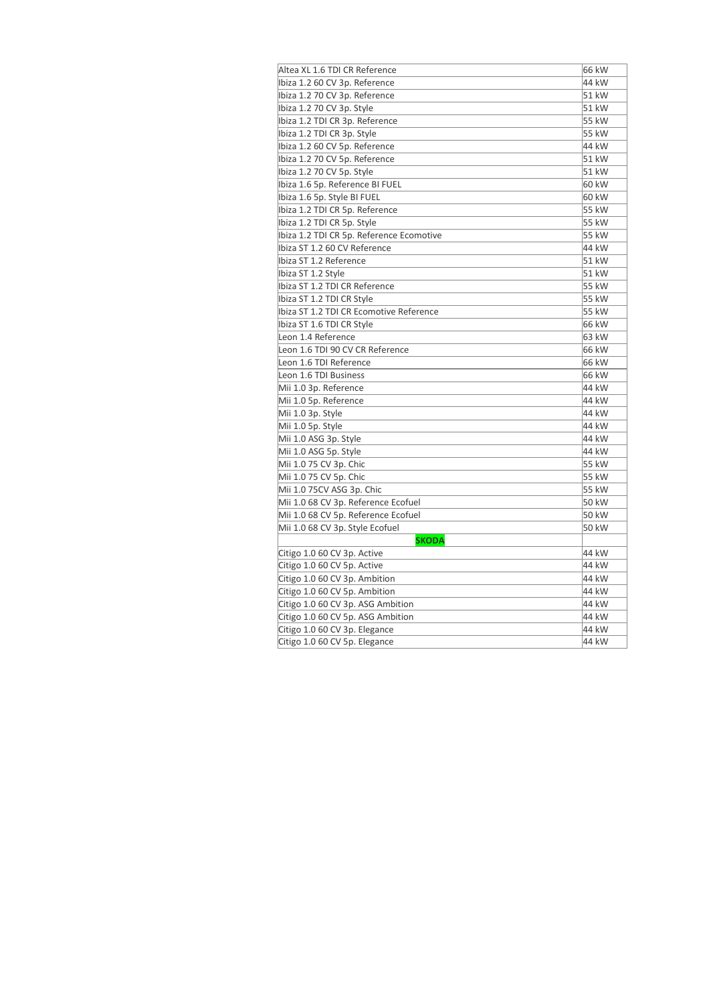| Altea XL 1.6 TDI CR Reference            | 66 kW |
|------------------------------------------|-------|
| Ibiza 1.2 60 CV 3p. Reference            | 44 kW |
| Ibiza 1.2 70 CV 3p. Reference            | 51 kW |
| Ibiza 1.2 70 CV 3p. Style                | 51 kW |
| Ibiza 1.2 TDI CR 3p. Reference           | 55 kW |
| Ibiza 1.2 TDI CR 3p. Style               | 55 kW |
| Ibiza 1.2 60 CV 5p. Reference            | 44 kW |
| Ibiza 1.2 70 CV 5p. Reference            | 51 kW |
| Ibiza 1.2 70 CV 5p. Style                | 51 kW |
| Ibiza 1.6 5p. Reference BI FUEL          | 60 kW |
| Ibiza 1.6 5p. Style BI FUEL              | 60 kW |
| Ibiza 1.2 TDI CR 5p. Reference           | 55 kW |
| Ibiza 1.2 TDI CR 5p. Style               | 55 kW |
| Ibiza 1.2 TDI CR 5p. Reference Ecomotive | 55 kW |
| Ibiza ST 1.2 60 CV Reference             | 44 kW |
| Ibiza ST 1.2 Reference                   | 51 kW |
| Ibiza ST 1.2 Style                       | 51 kW |
| Ibiza ST 1.2 TDI CR Reference            | 55 kW |
| Ibiza ST 1.2 TDI CR Style                | 55 kW |
| Ibiza ST 1.2 TDI CR Ecomotive Reference  | 55 kW |
| Ibiza ST 1.6 TDI CR Style                | 66 kW |
| Leon 1.4 Reference                       | 63 kW |
| Leon 1.6 TDI 90 CV CR Reference          | 66 kW |
| Leon 1.6 TDI Reference                   | 66 kW |
| Leon 1.6 TDI Business                    | 66 kW |
| Mii 1.0 3p. Reference                    | 44 kW |
| Mii 1.0 5p. Reference                    | 44 kW |
| Mii 1.0 3p. Style                        | 44 kW |
| Mii 1.0 5p. Style                        | 44 kW |
| Mii 1.0 ASG 3p. Style                    | 44 kW |
| Mii 1.0 ASG 5p. Style                    | 44 kW |
| Mii 1.0 75 CV 3p. Chic                   | 55 kW |
| Mii 1.0 75 CV 5p. Chic                   | 55 kW |
| Mii 1.0 75CV ASG 3p. Chic                | 55 kW |
| Mii 1.0 68 CV 3p. Reference Ecofuel      | 50 kW |
| Mii 1.0 68 CV 5p. Reference Ecofuel      | 50 kW |
| Mii 1.0 68 CV 3p. Style Ecofuel          | 50 kW |
| <b>SKODA</b>                             |       |
| Citigo 1.0 60 CV 3p. Active              | 44 kW |
| Citigo 1.0 60 CV 5p. Active              | 44 kW |
| Citigo 1.0 60 CV 3p. Ambition            | 44 kW |
| Citigo 1.0 60 CV 5p. Ambition            | 44 kW |
| Citigo 1.0 60 CV 3p. ASG Ambition        | 44 kW |
| Citigo 1.0 60 CV 5p. ASG Ambition        | 44 kW |
| Citigo 1.0 60 CV 3p. Elegance            | 44 kW |
| Citigo 1.0 60 CV 5p. Elegance            | 44 kW |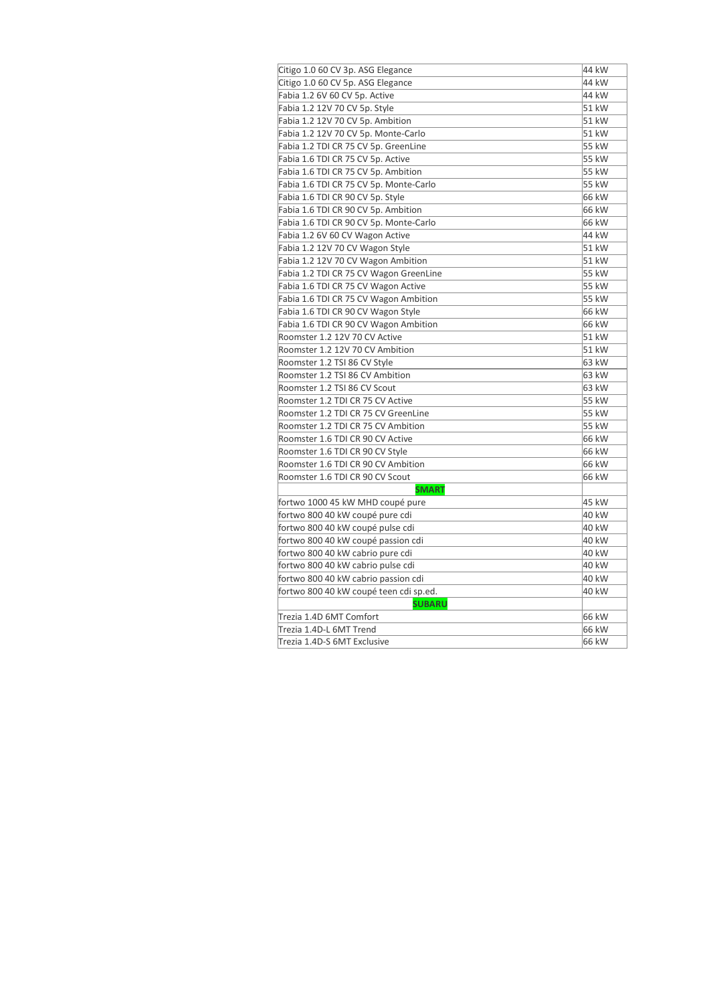| Citigo 1.0 60 CV 3p. ASG Elegance      | 44 kW |
|----------------------------------------|-------|
| Citigo 1.0 60 CV 5p. ASG Elegance      | 44 kW |
| Fabia 1.2 6V 60 CV 5p. Active          | 44 kW |
| Fabia 1.2 12V 70 CV 5p. Style          | 51 kW |
| Fabia 1.2 12V 70 CV 5p. Ambition       | 51 kW |
| Fabia 1.2 12V 70 CV 5p. Monte-Carlo    | 51 kW |
| Fabia 1.2 TDI CR 75 CV 5p. GreenLine   | 55 kW |
| Fabia 1.6 TDI CR 75 CV 5p. Active      | 55 kW |
| Fabia 1.6 TDI CR 75 CV 5p. Ambition    | 55 kW |
| Fabia 1.6 TDI CR 75 CV 5p. Monte-Carlo | 55 kW |
| Fabia 1.6 TDI CR 90 CV 5p. Style       | 66 kW |
| Fabia 1.6 TDI CR 90 CV 5p. Ambition    | 66 kW |
| Fabia 1.6 TDI CR 90 CV 5p. Monte-Carlo | 66 kW |
| Fabia 1.2 6V 60 CV Wagon Active        | 44 kW |
| Fabia 1.2 12V 70 CV Wagon Style        | 51 kW |
| Fabia 1.2 12V 70 CV Wagon Ambition     | 51 kW |
| Fabia 1.2 TDI CR 75 CV Wagon GreenLine | 55 kW |
| Fabia 1.6 TDI CR 75 CV Wagon Active    | 55 kW |
| Fabia 1.6 TDI CR 75 CV Wagon Ambition  | 55 kW |
| Fabia 1.6 TDI CR 90 CV Wagon Style     | 66 kW |
| Fabia 1.6 TDI CR 90 CV Wagon Ambition  | 66 kW |
| Roomster 1.2 12V 70 CV Active          | 51 kW |
| Roomster 1.2 12V 70 CV Ambition        | 51 kW |
| Roomster 1.2 TSI 86 CV Style           | 63 kW |
| Roomster 1.2 TSI 86 CV Ambition        | 63 kW |
| Roomster 1.2 TSI 86 CV Scout           | 63 kW |
| Roomster 1.2 TDI CR 75 CV Active       | 55 kW |
| Roomster 1.2 TDI CR 75 CV GreenLine    | 55 kW |
| Roomster 1.2 TDI CR 75 CV Ambition     | 55 kW |
| Roomster 1.6 TDI CR 90 CV Active       | 66 kW |
| Roomster 1.6 TDI CR 90 CV Style        | 66 kW |
| Roomster 1.6 TDI CR 90 CV Ambition     | 66 kW |
| Roomster 1.6 TDI CR 90 CV Scout        | 66 kW |
| <b>SMART</b>                           |       |
| fortwo 1000 45 kW MHD coupé pure       | 45 kW |
| fortwo 800 40 kW coupé pure cdi        | 40 kW |
| fortwo 800 40 kW coupé pulse cdi       | 40 kW |
| fortwo 800 40 kW coupé passion cdi     | 40 kW |
| fortwo 800 40 kW cabrio pure cdi       | 40 kW |
| fortwo 800 40 kW cabrio pulse cdi      | 40 kW |
| fortwo 800 40 kW cabrio passion cdi    | 40 kW |
| fortwo 800 40 kW coupé teen cdi sp.ed. | 40 kW |
| <b>SUBARU</b>                          |       |
| Trezia 1.4D 6MT Comfort                | 66 kW |
| Trezia 1.4D-L 6MT Trend                | 66 kW |
| Trezia 1.4D-S 6MT Exclusive            | 66 kW |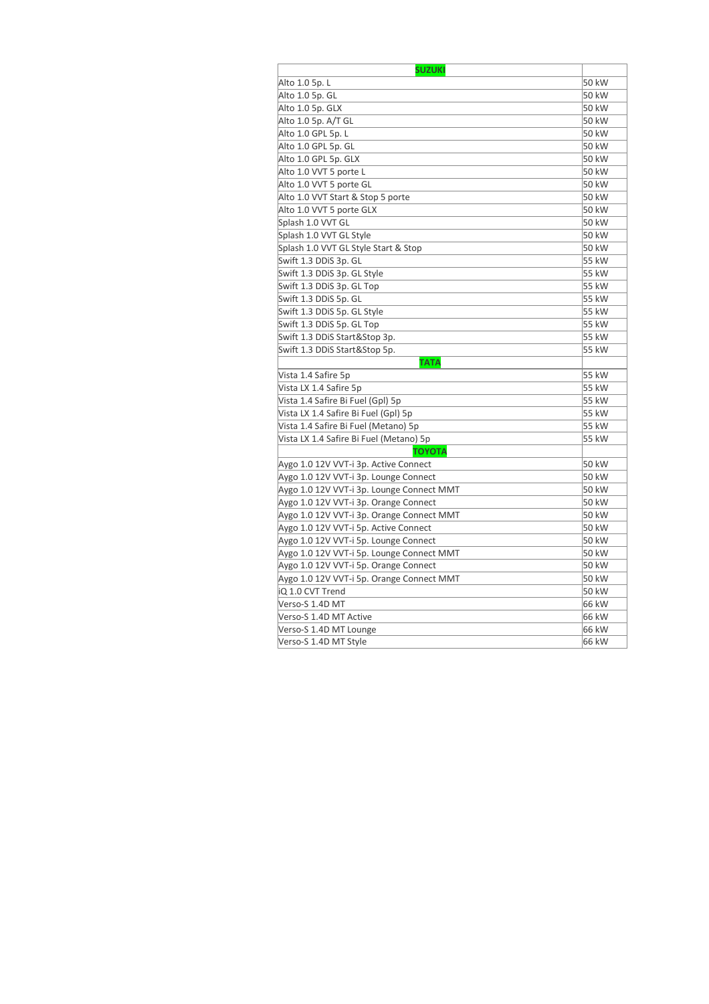| <b>SUZUKI</b>                             |       |
|-------------------------------------------|-------|
| Alto 1.0 5p. L                            | 50 kW |
| Alto 1.0 5p. GL                           | 50 kW |
| Alto 1.0 5p. GLX                          | 50 kW |
| Alto 1.0 5p. A/T GL                       | 50 kW |
| Alto 1.0 GPL 5p. L                        | 50 kW |
| Alto 1.0 GPL 5p. GL                       | 50 kW |
| Alto 1.0 GPL 5p. GLX                      | 50 kW |
| Alto 1.0 VVT 5 porte L                    | 50 kW |
| Alto 1.0 VVT 5 porte GL                   | 50 kW |
| Alto 1.0 VVT Start & Stop 5 porte         | 50 kW |
| Alto 1.0 VVT 5 porte GLX                  | 50 kW |
| Splash 1.0 VVT GL                         | 50 kW |
| Splash 1.0 VVT GL Style                   | 50 kW |
| Splash 1.0 VVT GL Style Start & Stop      | 50 kW |
| Swift 1.3 DDiS 3p. GL                     | 55 kW |
| Swift 1.3 DDiS 3p. GL Style               | 55 kW |
| Swift 1.3 DDiS 3p. GL Top                 | 55 kW |
| Swift 1.3 DDiS 5p. GL                     | 55 kW |
| Swift 1.3 DDiS 5p. GL Style               | 55 kW |
| Swift 1.3 DDiS 5p. GL Top                 | 55 kW |
| Swift 1.3 DDiS Start&Stop 3p.             | 55 kW |
| Swift 1.3 DDiS Start&Stop 5p.             | 55 kW |
| <b>TATA</b>                               |       |
| Vista 1.4 Safire 5p                       | 55 kW |
| Vista LX 1.4 Safire 5p                    | 55 kW |
| Vista 1.4 Safire Bi Fuel (Gpl) 5p         | 55 kW |
| Vista LX 1.4 Safire Bi Fuel (Gpl) 5p      | 55 kW |
| Vista 1.4 Safire Bi Fuel (Metano) 5p      | 55 kW |
| Vista LX 1.4 Safire Bi Fuel (Metano) 5p   | 55 kW |
| ΤΟΥΟΤΑ                                    |       |
| Aygo 1.0 12V VVT-i 3p. Active Connect     | 50 kW |
| Aygo 1.0 12V VVT-i 3p. Lounge Connect     | 50 kW |
| Aygo 1.0 12V VVT-i 3p. Lounge Connect MMT | 50 kW |
| Aygo 1.0 12V VVT-i 3p. Orange Connect     | 50 kW |
| Aygo 1.0 12V VVT-i 3p. Orange Connect MMT | 50 kW |
| Aygo 1.0 12V VVT-i 5p. Active Connect     | 50 kW |
| Aygo 1.0 12V VVT-i 5p. Lounge Connect     | 50 kW |
| Aygo 1.0 12V VVT-i 5p. Lounge Connect MMT | 50 kW |
| Aygo 1.0 12V VVT-i 5p. Orange Connect     | 50 kW |
| Aygo 1.0 12V VVT-i 5p. Orange Connect MMT | 50 kW |
| iQ 1.0 CVT Trend                          | 50 kW |
| Verso-S 1.4D MT                           | 66 kW |
| Verso-S 1.4D MT Active                    | 66 kW |
| Verso-S 1.4D MT Lounge                    | 66 kW |
| Verso-S 1.4D MT Style                     | 66 kW |